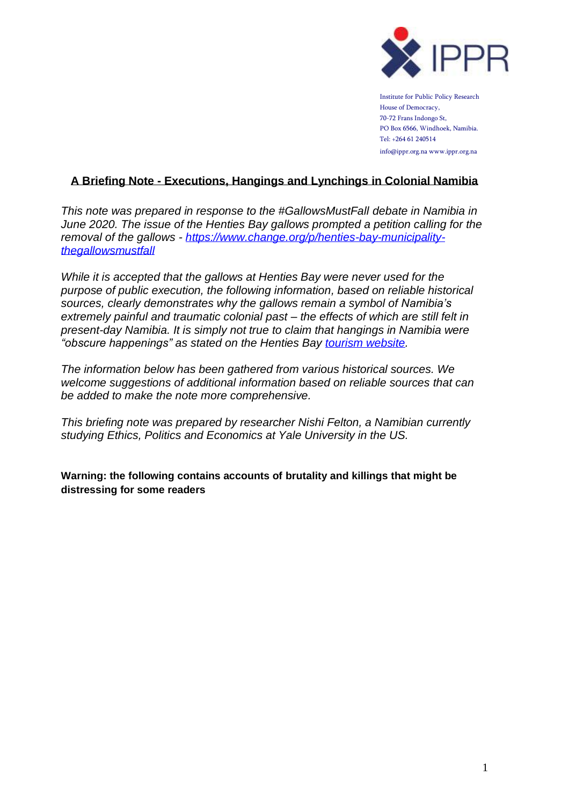

Institute for Public Policy Research House of Democracy, 70-72 Frans Indongo St, PO Box 6566, Windhoek, Namibia. Tel: +264 61 240514 info@ippr.org.na www.ippr.org.na

# **A Briefing Note - Executions, Hangings and Lynchings in Colonial Namibia**

*This note was prepared in response to the #GallowsMustFall debate in Namibia in June 2020. The issue of the Henties Bay gallows prompted a petition calling for the removal of the gallows - [https://www.change.org/p/henties-bay-municipality](https://www.change.org/p/henties-bay-municipality-thegallowsmustfall)[thegallowsmustfall](https://www.change.org/p/henties-bay-municipality-thegallowsmustfall)*

*While it is accepted that the gallows at Henties Bay were never used for the purpose of public execution, the following information, based on reliable historical sources, clearly demonstrates why the gallows remain a symbol of Namibia's extremely painful and traumatic colonial past – the effects of which are still felt in present-day Namibia. It is simply not true to claim that hangings in Namibia were "obscure happenings" as stated on the Henties Bay [tourism website.](http://www.hentiesbaytourism.com/things-to-do-and-see/to-see-in-henties-bay/gallows/)*

*The information below has been gathered from various historical sources. We welcome suggestions of additional information based on reliable sources that can be added to make the note more comprehensive.*

*This briefing note was prepared by researcher Nishi Felton, a Namibian currently studying Ethics, Politics and Economics at Yale University in the US.*

**Warning: the following contains accounts of brutality and killings that might be distressing for some readers**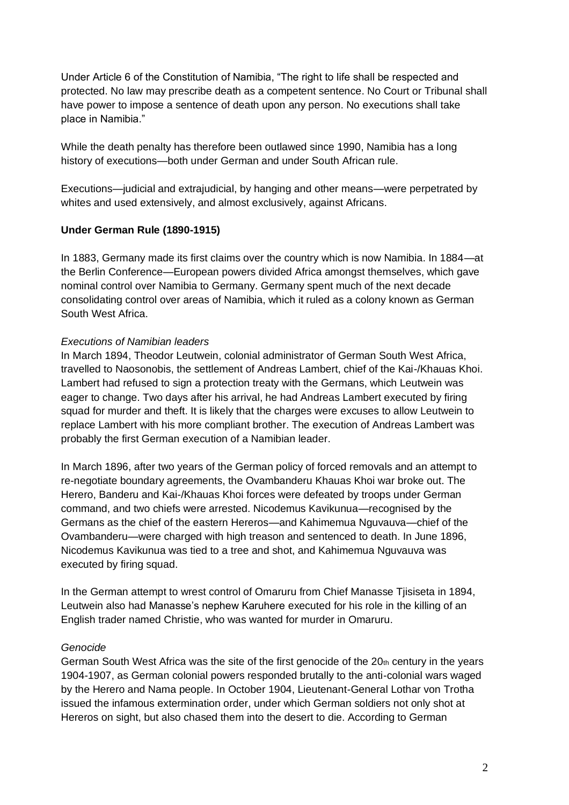Under Article 6 of the Constitution of Namibia, "The right to life shall be respected and protected. No law may prescribe death as a competent sentence. No Court or Tribunal shall have power to impose a sentence of death upon any person. No executions shall take place in Namibia."

While the death penalty has therefore been outlawed since 1990, Namibia has a long history of executions—both under German and under South African rule.

Executions—judicial and extrajudicial, by hanging and other means—were perpetrated by whites and used extensively, and almost exclusively, against Africans.

## **Under German Rule (1890-1915)**

In 1883, Germany made its first claims over the country which is now Namibia. In 1884—at the Berlin Conference—European powers divided Africa amongst themselves, which gave nominal control over Namibia to Germany. Germany spent much of the next decade consolidating control over areas of Namibia, which it ruled as a colony known as German South West Africa.

### *Executions of Namibian leaders*

In March 1894, Theodor Leutwein, colonial administrator of German South West Africa, travelled to Naosonobis, the settlement of Andreas Lambert, chief of the Kai-/Khauas Khoi. Lambert had refused to sign a protection treaty with the Germans, which Leutwein was eager to change. Two days after his arrival, he had Andreas Lambert executed by firing squad for murder and theft. It is likely that the charges were excuses to allow Leutwein to replace Lambert with his more compliant brother. The execution of Andreas Lambert was probably the first German execution of a Namibian leader.

In March 1896, after two years of the German policy of forced removals and an attempt to re-negotiate boundary agreements, the Ovambanderu Khauas Khoi war broke out. The Herero, Banderu and Kai-/Khauas Khoi forces were defeated by troops under German command, and two chiefs were arrested. Nicodemus Kavikunua—recognised by the Germans as the chief of the eastern Hereros—and Kahimemua Nguvauva—chief of the Ovambanderu—were charged with high treason and sentenced to death. In June 1896, Nicodemus Kavikunua was tied to a tree and shot, and Kahimemua Nguvauva was executed by firing squad.

In the German attempt to wrest control of Omaruru from Chief Manasse Tjisiseta in 1894, Leutwein also had Manasse's nephew Karuhere executed for his role in the killing of an English trader named Christie, who was wanted for murder in Omaruru.

### *Genocide*

German South West Africa was the site of the first genocide of the  $20<sub>th</sub>$  century in the years 1904-1907, as German colonial powers responded brutally to the anti-colonial wars waged by the Herero and Nama people. In October 1904, Lieutenant-General Lothar von Trotha issued the infamous extermination order, under which German soldiers not only shot at Hereros on sight, but also chased them into the desert to die. According to German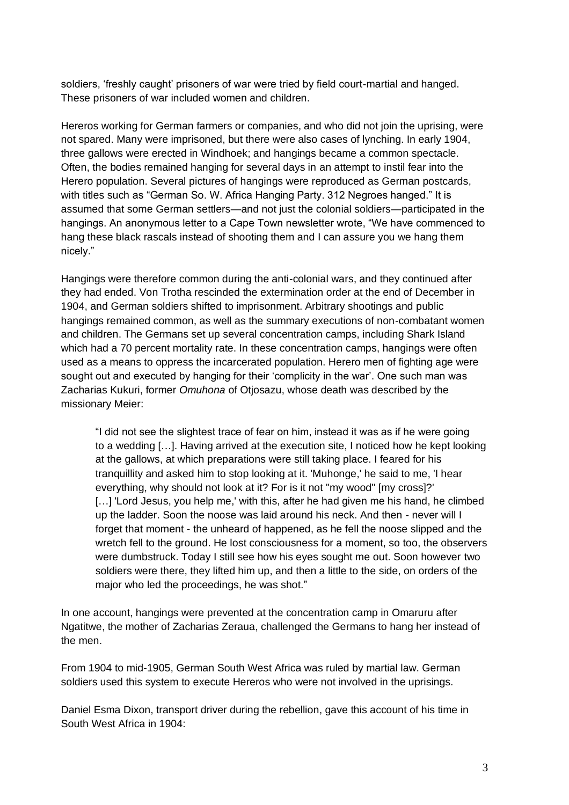soldiers, 'freshly caught' prisoners of war were tried by field court-martial and hanged. These prisoners of war included women and children.

Hereros working for German farmers or companies, and who did not join the uprising, were not spared. Many were imprisoned, but there were also cases of lynching. In early 1904, three gallows were erected in Windhoek; and hangings became a common spectacle. Often, the bodies remained hanging for several days in an attempt to instil fear into the Herero population. Several pictures of hangings were reproduced as German postcards, with titles such as "German So. W. Africa Hanging Party. 312 Negroes hanged." It is assumed that some German settlers—and not just the colonial soldiers—participated in the hangings. An anonymous letter to a Cape Town newsletter wrote, "We have commenced to hang these black rascals instead of shooting them and I can assure you we hang them nicely."

Hangings were therefore common during the anti-colonial wars, and they continued after they had ended. Von Trotha rescinded the extermination order at the end of December in 1904, and German soldiers shifted to imprisonment. Arbitrary shootings and public hangings remained common, as well as the summary executions of non-combatant women and children. The Germans set up several concentration camps, including Shark Island which had a 70 percent mortality rate. In these concentration camps, hangings were often used as a means to oppress the incarcerated population. Herero men of fighting age were sought out and executed by hanging for their 'complicity in the war'. One such man was Zacharias Kukuri, former *Omuhona* of Otjosazu, whose death was described by the missionary Meier:

"I did not see the slightest trace of fear on him, instead it was as if he were going to a wedding […]. Having arrived at the execution site, I noticed how he kept looking at the gallows, at which preparations were still taking place. I feared for his tranquillity and asked him to stop looking at it. 'Muhonge,' he said to me, 'I hear everything, why should not look at it? For is it not "my wood" [my cross]?' [...] 'Lord Jesus, you help me,' with this, after he had given me his hand, he climbed up the ladder. Soon the noose was laid around his neck. And then - never will I forget that moment - the unheard of happened, as he fell the noose slipped and the wretch fell to the ground. He lost consciousness for a moment, so too, the observers were dumbstruck. Today I still see how his eyes sought me out. Soon however two soldiers were there, they lifted him up, and then a little to the side, on orders of the major who led the proceedings, he was shot."

In one account, hangings were prevented at the concentration camp in Omaruru after Ngatitwe, the mother of Zacharias Zeraua, challenged the Germans to hang her instead of the men.

From 1904 to mid-1905, German South West Africa was ruled by martial law. German soldiers used this system to execute Hereros who were not involved in the uprisings.

Daniel Esma Dixon, transport driver during the rebellion, gave this account of his time in South West Africa in 1904: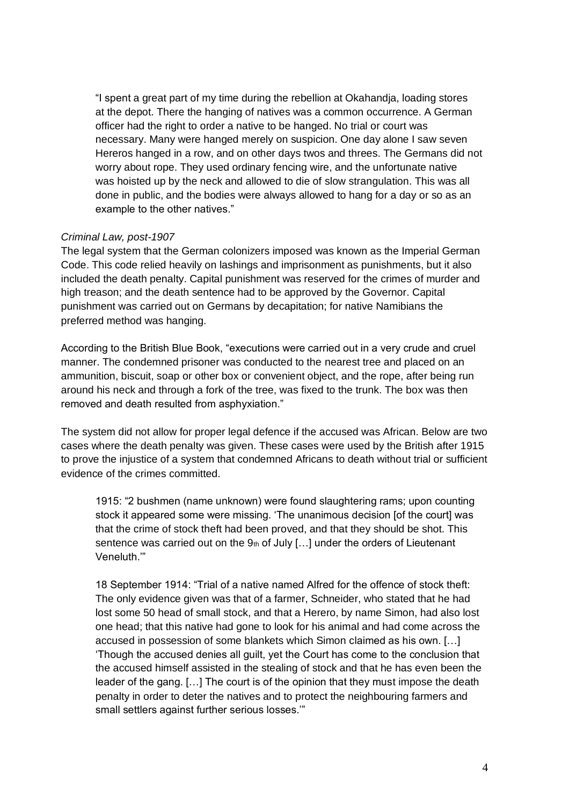"I spent a great part of my time during the rebellion at Okahandja, loading stores at the depot. There the hanging of natives was a common occurrence. A German officer had the right to order a native to be hanged. No trial or court was necessary. Many were hanged merely on suspicion. One day alone I saw seven Hereros hanged in a row, and on other days twos and threes. The Germans did not worry about rope. They used ordinary fencing wire, and the unfortunate native was hoisted up by the neck and allowed to die of slow strangulation. This was all done in public, and the bodies were always allowed to hang for a day or so as an example to the other natives."

### *Criminal Law, post-1907*

The legal system that the German colonizers imposed was known as the Imperial German Code. This code relied heavily on lashings and imprisonment as punishments, but it also included the death penalty. Capital punishment was reserved for the crimes of murder and high treason; and the death sentence had to be approved by the Governor. Capital punishment was carried out on Germans by decapitation; for native Namibians the preferred method was hanging.

According to the British Blue Book, "executions were carried out in a very crude and cruel manner. The condemned prisoner was conducted to the nearest tree and placed on an ammunition, biscuit, soap or other box or convenient object, and the rope, after being run around his neck and through a fork of the tree, was fixed to the trunk. The box was then removed and death resulted from asphyxiation."

The system did not allow for proper legal defence if the accused was African. Below are two cases where the death penalty was given. These cases were used by the British after 1915 to prove the injustice of a system that condemned Africans to death without trial or sufficient evidence of the crimes committed.

1915: "2 bushmen (name unknown) were found slaughtering rams; upon counting stock it appeared some were missing. 'The unanimous decision [of the court] was that the crime of stock theft had been proved, and that they should be shot. This sentence was carried out on the  $9<sub>th</sub>$  of July [...] under the orders of Lieutenant Veneluth.'"

18 September 1914: "Trial of a native named Alfred for the offence of stock theft: The only evidence given was that of a farmer, Schneider, who stated that he had lost some 50 head of small stock, and that a Herero, by name Simon, had also lost one head; that this native had gone to look for his animal and had come across the accused in possession of some blankets which Simon claimed as his own. […] 'Though the accused denies all guilt, yet the Court has come to the conclusion that the accused himself assisted in the stealing of stock and that he has even been the leader of the gang. […] The court is of the opinion that they must impose the death penalty in order to deter the natives and to protect the neighbouring farmers and small settlers against further serious losses.'"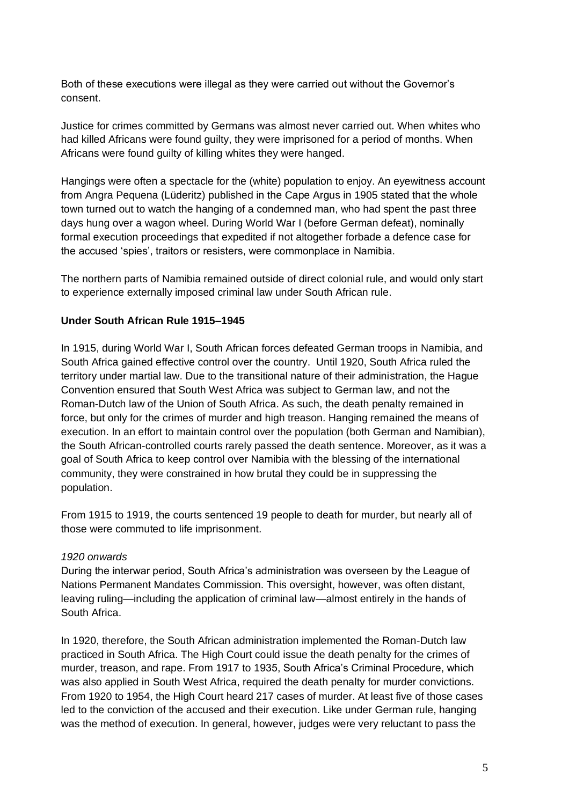Both of these executions were illegal as they were carried out without the Governor's consent.

Justice for crimes committed by Germans was almost never carried out. When whites who had killed Africans were found guilty, they were imprisoned for a period of months. When Africans were found guilty of killing whites they were hanged.

Hangings were often a spectacle for the (white) population to enjoy. An eyewitness account from Angra Pequena (Lüderitz) published in the Cape Argus in 1905 stated that the whole town turned out to watch the hanging of a condemned man, who had spent the past three days hung over a wagon wheel. During World War I (before German defeat), nominally formal execution proceedings that expedited if not altogether forbade a defence case for the accused 'spies', traitors or resisters, were commonplace in Namibia.

The northern parts of Namibia remained outside of direct colonial rule, and would only start to experience externally imposed criminal law under South African rule.

## **Under South African Rule 1915–1945**

In 1915, during World War I, South African forces defeated German troops in Namibia, and South Africa gained effective control over the country. Until 1920, South Africa ruled the territory under martial law. Due to the transitional nature of their administration, the Hague Convention ensured that South West Africa was subject to German law, and not the Roman-Dutch law of the Union of South Africa. As such, the death penalty remained in force, but only for the crimes of murder and high treason. Hanging remained the means of execution. In an effort to maintain control over the population (both German and Namibian), the South African-controlled courts rarely passed the death sentence. Moreover, as it was a goal of South Africa to keep control over Namibia with the blessing of the international community, they were constrained in how brutal they could be in suppressing the population.

From 1915 to 1919, the courts sentenced 19 people to death for murder, but nearly all of those were commuted to life imprisonment.

### *1920 onwards*

During the interwar period, South Africa's administration was overseen by the League of Nations Permanent Mandates Commission. This oversight, however, was often distant, leaving ruling—including the application of criminal law—almost entirely in the hands of South Africa.

In 1920, therefore, the South African administration implemented the Roman-Dutch law practiced in South Africa. The High Court could issue the death penalty for the crimes of murder, treason, and rape. From 1917 to 1935, South Africa's Criminal Procedure, which was also applied in South West Africa, required the death penalty for murder convictions. From 1920 to 1954, the High Court heard 217 cases of murder. At least five of those cases led to the conviction of the accused and their execution. Like under German rule, hanging was the method of execution. In general, however, judges were very reluctant to pass the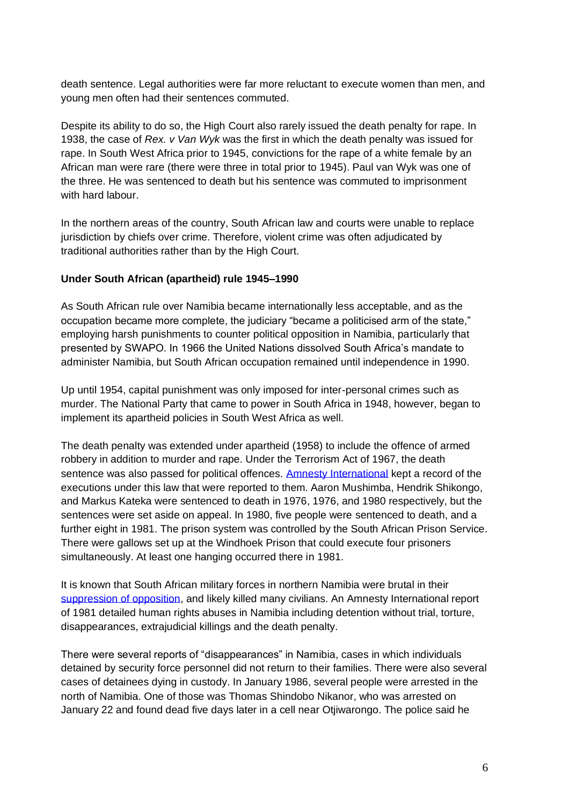death sentence. Legal authorities were far more reluctant to execute women than men, and young men often had their sentences commuted.

Despite its ability to do so, the High Court also rarely issued the death penalty for rape. In 1938, the case of *Rex. v Van Wyk* was the first in which the death penalty was issued for rape. In South West Africa prior to 1945, convictions for the rape of a white female by an African man were rare (there were three in total prior to 1945). Paul van Wyk was one of the three. He was sentenced to death but his sentence was commuted to imprisonment with hard labour.

In the northern areas of the country, South African law and courts were unable to replace jurisdiction by chiefs over crime. Therefore, violent crime was often adjudicated by traditional authorities rather than by the High Court.

## **Under South African (apartheid) rule 1945–1990**

As South African rule over Namibia became internationally less acceptable, and as the occupation became more complete, the judiciary "became a politicised arm of the state," employing harsh punishments to counter political opposition in Namibia, particularly that presented by SWAPO. In 1966 the United Nations dissolved South Africa's mandate to administer Namibia, but South African occupation remained until independence in 1990.

Up until 1954, capital punishment was only imposed for inter-personal crimes such as murder. The National Party that came to power in South Africa in 1948, however, began to implement its apartheid policies in South West Africa as well.

The death penalty was extended under apartheid (1958) to include the offence of armed robbery in addition to murder and rape. Under the Terrorism Act of 1967, the death sentence was also passed for political offences. [Amnesty International](http://kora.matrix.msu.edu/files/50/304/32-130-1AFB-84-AI%20Namibia%209-82%20opt.pdf) kept a record of the executions under this law that were reported to them. Aaron Mushimba, Hendrik Shikongo, and Markus Kateka were sentenced to death in 1976, 1976, and 1980 respectively, but the sentences were set aside on appeal. In 1980, five people were sentenced to death, and a further eight in 1981. The prison system was controlled by the South African Prison Service. There were gallows set up at the Windhoek Prison that could execute four prisoners simultaneously. At least one hanging occurred there in 1981.

It is known that South African military forces in northern Namibia were brutal in their [suppression of opposition,](https://www.amnesty.org/download/Documents/POL1000031986ENGLISH.PDF#page=84&zoom=auto,-262,9) and likely killed many civilians. An Amnesty International report of 1981 detailed human rights abuses in Namibia including detention without trial, torture, disappearances, extrajudicial killings and the death penalty.

There were several reports of "disappearances" in Namibia, cases in which individuals detained by security force personnel did not return to their families. There were also several cases of detainees dying in custody. In January 1986, several people were arrested in the north of Namibia. One of those was Thomas Shindobo Nikanor, who was arrested on January 22 and found dead five days later in a cell near Otjiwarongo. The police said he